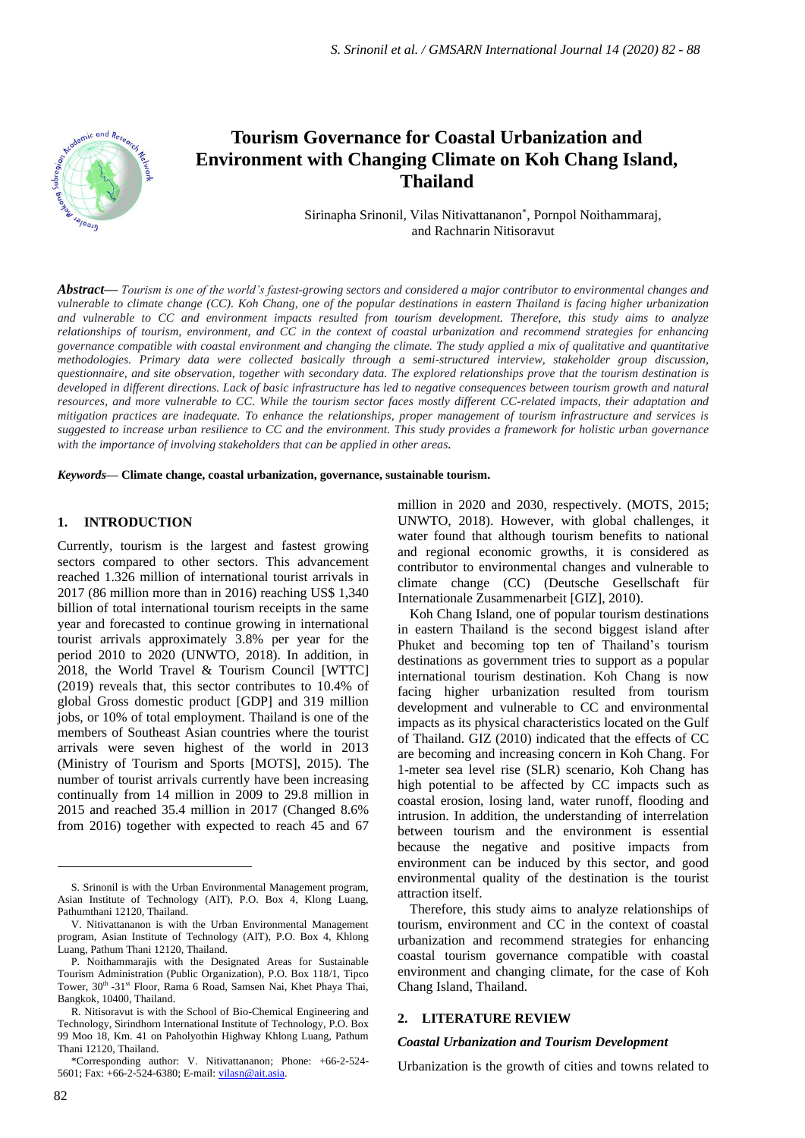

# **Tourism Governance for Coastal Urbanization and Environment with Changing Climate on Koh Chang Island, Thailand**

Sirinapha Srinonil, Vilas Nitivattananon\* , Pornpol Noithammaraj, and Rachnarin Nitisoravut

*Abstract***—** *Tourism is one of the world's fastest-growing sectors and considered a major contributor to environmental changes and vulnerable to climate change (CC). Koh Chang, one of the popular destinations in eastern Thailand is facing higher urbanization and vulnerable to CC and environment impacts resulted from tourism development. Therefore, this study aims to analyze relationships of tourism, environment, and CC in the context of coastal urbanization and recommend strategies for enhancing governance compatible with coastal environment and changing the climate. The study applied a mix of qualitative and quantitative methodologies. Primary data were collected basically through a semi-structured interview, stakeholder group discussion, questionnaire, and site observation, together with secondary data. The explored relationships prove that the tourism destination is developed in different directions. Lack of basic infrastructure has led to negative consequences between tourism growth and natural resources, and more vulnerable to CC. While the tourism sector faces mostly different CC-related impacts, their adaptation and mitigation practices are inadequate. To enhance the relationships, proper management of tourism infrastructure and services is suggested to increase urban resilience to CC and the environment. This study provides a framework for holistic urban governance with the importance of involving stakeholders that can be applied in other areas.*

*Keywords***— Climate change, coastal urbanization, governance, sustainable tourism.**

#### **1. INTRODUCTION**

Currently, tourism is the largest and fastest growing sectors compared to other sectors. This advancement reached 1.326 million of international tourist arrivals in 2017 (86 million more than in 2016) reaching US\$ 1,340 billion of total international tourism receipts in the same year and forecasted to continue growing in international tourist arrivals approximately 3.8% per year for the period 2010 to 2020 (UNWTO, 2018). In addition, in 2018, the World Travel & Tourism Council [WTTC] (2019) reveals that, this sector contributes to 10.4% of global Gross domestic product [GDP] and 319 million jobs, or 10% of total employment. Thailand is one of the members of Southeast Asian countries where the tourist arrivals were seven highest of the world in 2013 (Ministry of Tourism and Sports [MOTS], 2015). The number of tourist arrivals currently have been increasing continually from 14 million in 2009 to 29.8 million in 2015 and reached 35.4 million in 2017 (Changed 8.6% from 2016) together with expected to reach 45 and 67

million in 2020 and 2030, respectively. (MOTS, 2015; UNWTO, 2018). However, with global challenges, it water found that although tourism benefits to national and regional economic growths, it is considered as contributor to environmental changes and vulnerable to climate change (CC) (Deutsche Gesellschaft für Internationale Zusammenarbeit [GIZ], 2010).

Koh Chang Island, one of popular tourism destinations in eastern Thailand is the second biggest island after Phuket and becoming top ten of Thailand's tourism destinations as government tries to support as a popular international tourism destination. Koh Chang is now facing higher urbanization resulted from tourism development and vulnerable to CC and environmental impacts as its physical characteristics located on the Gulf of Thailand. GIZ (2010) indicated that the effects of CC are becoming and increasing concern in Koh Chang. For 1-meter sea level rise (SLR) scenario, Koh Chang has high potential to be affected by CC impacts such as coastal erosion, losing land, water runoff, flooding and intrusion. In addition, the understanding of interrelation between tourism and the environment is essential because the negative and positive impacts from environment can be induced by this sector, and good environmental quality of the destination is the tourist attraction itself.

Therefore, this study aims to analyze relationships of tourism, environment and CC in the context of coastal urbanization and recommend strategies for enhancing coastal tourism governance compatible with coastal environment and changing climate, for the case of Koh Chang Island, Thailand.

### **2. LITERATURE REVIEW**

### *Coastal Urbanization and Tourism Development*

Urbanization is the growth of cities and towns related to

S. Srinonil is with the Urban Environmental Management program, Asian Institute of Technology (AIT), P.O. Box 4, Klong Luang, Pathumthani 12120, Thailand.

V. Nitivattananon is with the Urban Environmental Management program, Asian Institute of Technology (AIT), P.O. Box 4, Khlong Luang, Pathum Thani 12120, Thailand.

P. Noithammarajis with the Designated Areas for Sustainable Tourism Administration (Public Organization), P.O. Box 118/1, Tipco Tower, 30<sup>th</sup> -31<sup>st</sup> Floor, Rama 6 Road, Samsen Nai, Khet Phaya Thai, Bangkok, 10400, Thailand.

R. Nitisoravut is with the School of Bio-Chemical Engineering and Technology, Sirindhorn International Institute of Technology, P.O. Box 99 Moo 18, Km. 41 on Paholyothin Highway Khlong Luang, Pathum Thani 12120, Thailand.

<sup>\*</sup>Corresponding author: V. Nitivattananon; Phone: +66-2-524- 5601; Fax: +66-2-524-6380; E-mail[: vilasn@ait.asia.](mailto:vilasn@ait.asia)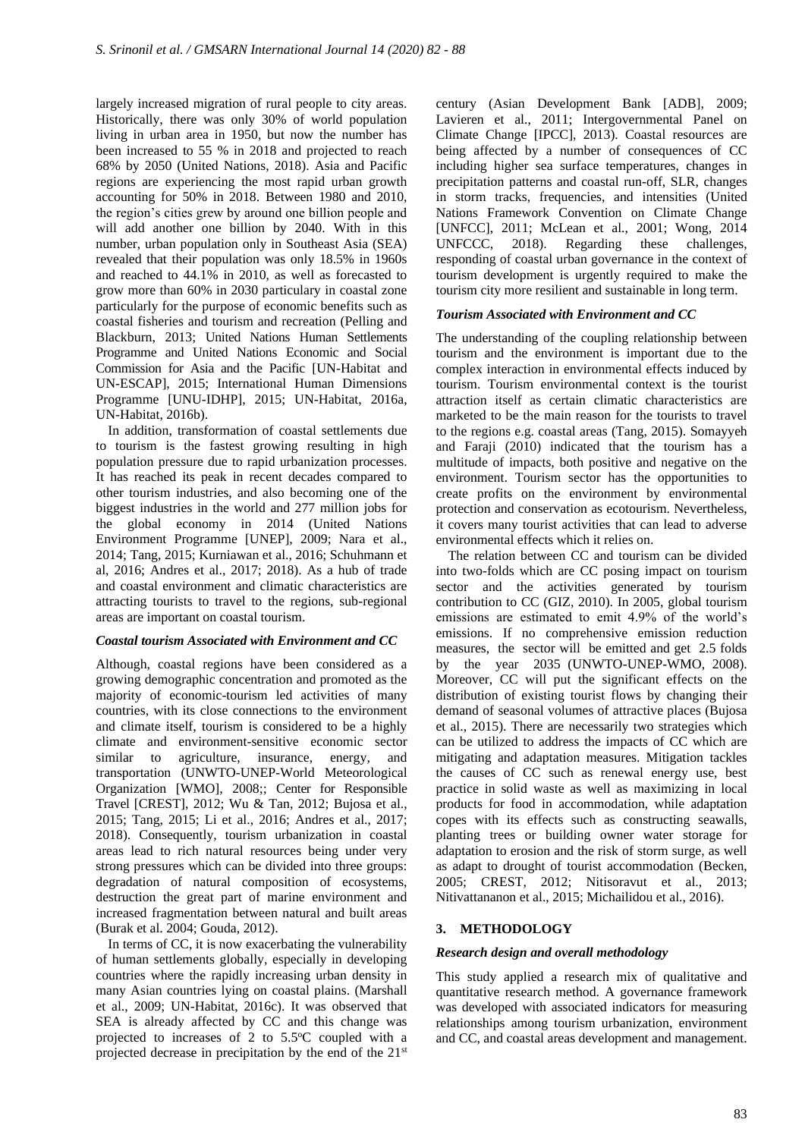largely increased migration of rural people to city areas. Historically, there was only 30% of world population living in urban area in 1950, but now the number has been increased to 55 % in 2018 and projected to reach 68% by 2050 (United Nations, 2018). Asia and Pacific regions are experiencing the most rapid urban growth accounting for 50% in 2018. Between 1980 and 2010, the region's cities grew by around one billion people and will add another one billion by 2040. With in this number, urban population only in Southeast Asia (SEA) revealed that their population was only 18.5% in 1960s and reached to 44.1% in 2010, as well as forecasted to grow more than 60% in 2030 particulary in coastal zone particularly for the purpose of economic benefits such as coastal fisheries and tourism and recreation (Pelling and Blackburn, 2013; United Nations Human Settlements Programme and United Nations Economic and Social Commission for Asia and the Pacific [UN-Habitat and UN-ESCAP], 2015; International Human Dimensions Programme [UNU-IDHP], 2015; UN-Habitat, 2016a, UN-Habitat, 2016b).

In addition, transformation of coastal settlements due to tourism is the fastest growing resulting in high population pressure due to rapid urbanization processes. It has reached its peak in recent decades compared to other tourism industries, and also becoming one of the biggest industries in the world and 277 million jobs for the global economy in 2014 (United Nations Environment Programme [UNEP], 2009; Nara et al., 2014; Tang, 2015; Kurniawan et al., 2016; Schuhmann et al, 2016; Andres et al., 2017; 2018). As a hub of trade and coastal environment and climatic characteristics are attracting tourists to travel to the regions, sub-regional areas are important on coastal tourism.

# *Coastal tourism Associated with Environment and CC*

Although, coastal regions have been considered as a growing demographic concentration and promoted as the majority of economic-tourism led activities of many countries, with its close connections to the environment and climate itself, tourism is considered to be a highly climate and environment-sensitive economic sector similar to agriculture, insurance, energy, and transportation (UNWTO-UNEP-World Meteorological Organization [WMO], 2008;; Center for Responsible Travel [CREST], 2012; Wu & Tan, 2012; Bujosa et al., 2015; Tang, 2015; Li et al., 2016; Andres et al., 2017; 2018). Consequently, tourism urbanization in coastal areas lead to rich natural resources being under very strong pressures which can be divided into three groups: degradation of natural composition of ecosystems, destruction the great part of marine environment and increased fragmentation between natural and built areas (Burak et al. 2004; Gouda, 2012).

In terms of CC, it is now exacerbating the vulnerability of human settlements globally, especially in developing countries where the rapidly increasing urban density in many Asian countries lying on coastal plains. (Marshall et al., 2009; UN-Habitat, 2016c). It was observed that SEA is already affected by CC and this change was projected to increases of 2 to  $5.5^{\circ}$ C coupled with a projected decrease in precipitation by the end of the 21st

century (Asian Development Bank [ADB], 2009; Lavieren et al., 2011; Intergovernmental Panel on Climate Change [IPCC], 2013). Coastal resources are being affected by a number of consequences of CC including higher sea surface temperatures, changes in precipitation patterns and coastal run-off, SLR, changes in storm tracks, frequencies, and intensities (United Nations Framework Convention on Climate Change [UNFCC], 2011; McLean et al., 2001; Wong, 2014 UNFCCC, 2018). Regarding these challenges, responding of coastal urban governance in the context of tourism development is urgently required to make the tourism city more resilient and sustainable in long term.

# *Tourism Associated with Environment and CC*

The understanding of the coupling relationship between tourism and the environment is important due to the complex interaction in environmental effects induced by tourism. Tourism environmental context is the tourist attraction itself as certain climatic characteristics are marketed to be the main reason for the tourists to travel to the regions e.g. coastal areas (Tang, 2015). Somayyeh and Faraji (2010) indicated that the tourism has a multitude of impacts, both positive and negative on the environment. Tourism sector has the opportunities to create profits on the environment by environmental protection and conservation as ecotourism. Nevertheless, it covers many tourist activities that can lead to adverse environmental effects which it relies on.

The relation between CC and tourism can be divided into two-folds which are CC posing impact on tourism sector and the activities generated by tourism contribution to CC (GIZ, 2010). In 2005, global tourism emissions are estimated to emit 4.9% of the world's emissions. If no comprehensive emission reduction measures, the sector will be emitted and get 2.5 folds by the year 2035 (UNWTO-UNEP-WMO, 2008). Moreover, CC will put the significant effects on the distribution of existing tourist flows by changing their demand of seasonal volumes of attractive places (Bujosa et al., 2015). There are necessarily two strategies which can be utilized to address the impacts of CC which are mitigating and adaptation measures. Mitigation tackles the causes of CC such as renewal energy use, best practice in solid waste as well as maximizing in local products for food in accommodation, while adaptation copes with its effects such as constructing seawalls, planting trees or building owner water storage for adaptation to erosion and the risk of storm surge, as well as adapt to drought of tourist accommodation (Becken, 2005; CREST, 2012; Nitisoravut et al., 2013; Nitivattananon et al., 2015; Michailidou et al., 2016).

# **3. METHODOLOGY**

# *Research design and overall methodology*

This study applied a research mix of qualitative and quantitative research method. A governance framework was developed with associated indicators for measuring relationships among tourism urbanization, environment and CC, and coastal areas development and management.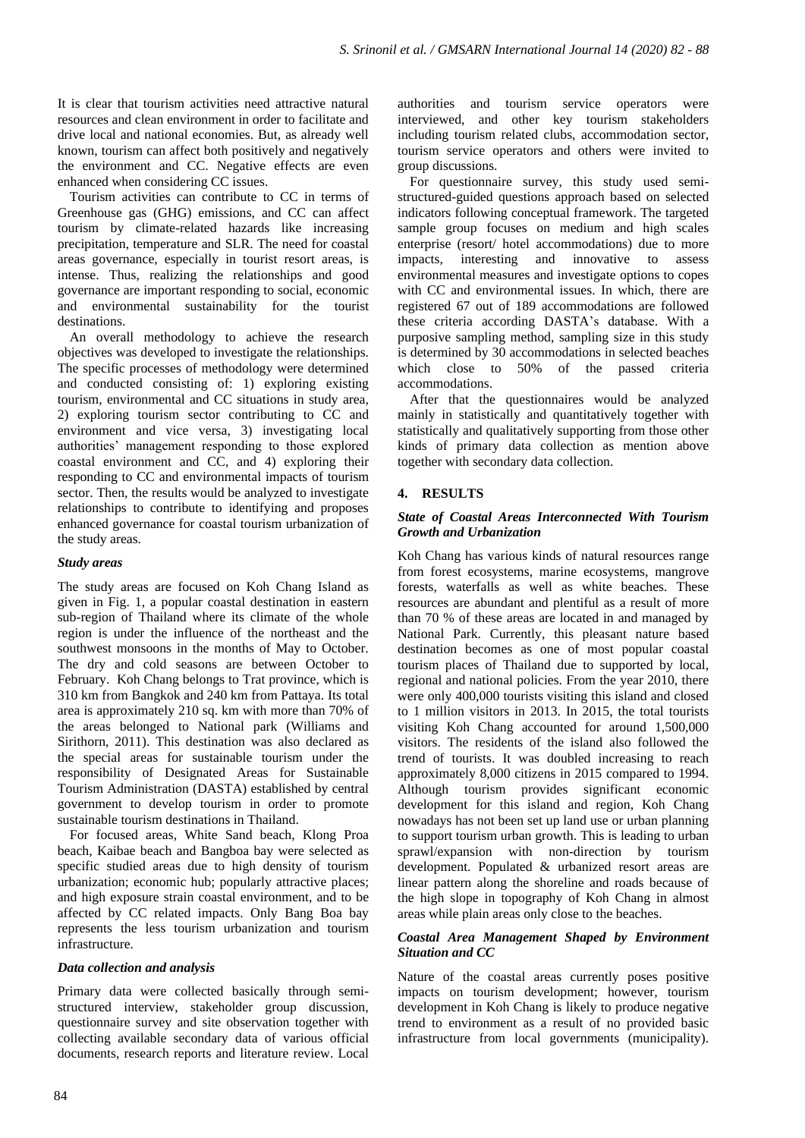It is clear that tourism activities need attractive natural resources and clean environment in order to facilitate and drive local and national economies. But, as already well known, tourism can affect both positively and negatively the environment and CC. Negative effects are even enhanced when considering CC issues.

Tourism activities can contribute to CC in terms of Greenhouse gas (GHG) emissions, and CC can affect tourism by climate-related hazards like increasing precipitation, temperature and SLR. The need for coastal areas governance, especially in tourist resort areas, is intense. Thus, realizing the relationships and good governance are important responding to social, economic and environmental sustainability for the tourist destinations.

An overall methodology to achieve the research objectives was developed to investigate the relationships. The specific processes of methodology were determined and conducted consisting of: 1) exploring existing tourism, environmental and CC situations in study area, 2) exploring tourism sector contributing to CC and environment and vice versa, 3) investigating local authorities' management responding to those explored coastal environment and CC, and 4) exploring their responding to CC and environmental impacts of tourism sector. Then, the results would be analyzed to investigate relationships to contribute to identifying and proposes enhanced governance for coastal tourism urbanization of the study areas.

# *Study areas*

The study areas are focused on Koh Chang Island as given in Fig. 1, a popular coastal destination in eastern sub-region of Thailand where its climate of the whole region is under the influence of the northeast and the southwest monsoons in the months of May to October. The dry and cold seasons are between October to February. Koh Chang belongs to Trat province, which is 310 km from Bangkok and 240 km from Pattaya. Its total area is approximately 210 sq. km with more than 70% of the areas belonged to National park (Williams and Sirithorn, 2011). This destination was also declared as the special areas for sustainable tourism under the responsibility of Designated Areas for Sustainable Tourism Administration (DASTA) established by central government to develop tourism in order to promote sustainable tourism destinations in Thailand.

For focused areas, White Sand beach, Klong Proa beach, Kaibae beach and Bangboa bay were selected as specific studied areas due to high density of tourism urbanization; economic hub; popularly attractive places; and high exposure strain coastal environment, and to be affected by CC related impacts. Only Bang Boa bay represents the less tourism urbanization and tourism infrastructure.

# *Data collection and analysis*

Primary data were collected basically through semistructured interview, stakeholder group discussion, questionnaire survey and site observation together with collecting available secondary data of various official documents, research reports and literature review. Local

authorities and tourism service operators were interviewed, and other key tourism stakeholders including tourism related clubs, accommodation sector, tourism service operators and others were invited to group discussions.

For questionnaire survey, this study used semistructured-guided questions approach based on selected indicators following conceptual framework. The targeted sample group focuses on medium and high scales enterprise (resort/ hotel accommodations) due to more impacts, interesting and innovative to assess environmental measures and investigate options to copes with CC and environmental issues. In which, there are registered 67 out of 189 accommodations are followed these criteria according DASTA's database. With a purposive sampling method, sampling size in this study is determined by 30 accommodations in selected beaches which close to 50% of the passed criteria accommodations.

After that the questionnaires would be analyzed mainly in statistically and quantitatively together with statistically and qualitatively supporting from those other kinds of primary data collection as mention above together with secondary data collection.

# **4. RESULTS**

# *State of Coastal Areas Interconnected With Tourism Growth and Urbanization*

Koh Chang has various kinds of natural resources range from forest ecosystems, marine ecosystems, mangrove forests, waterfalls as well as white beaches. These resources are abundant and plentiful as a result of more than 70 % of these areas are located in and managed by National Park. Currently, this pleasant nature based destination becomes as one of most popular coastal tourism places of Thailand due to supported by local, regional and national policies. From the year 2010, there were only 400,000 tourists visiting this island and closed to 1 million visitors in 2013. In 2015, the total tourists visiting Koh Chang accounted for around 1,500,000 visitors. The residents of the island also followed the trend of tourists. It was doubled increasing to reach approximately 8,000 citizens in 2015 compared to 1994. Although tourism provides significant economic development for this island and region, Koh Chang nowadays has not been set up land use or urban planning to support tourism urban growth. This is leading to urban sprawl/expansion with non-direction by tourism development. Populated & urbanized resort areas are linear pattern along the shoreline and roads because of the high slope in topography of Koh Chang in almost areas while plain areas only close to the beaches.

# *Coastal Area Management Shaped by Environment Situation and CC*

Nature of the coastal areas currently poses positive impacts on tourism development; however, tourism development in Koh Chang is likely to produce negative trend to environment as a result of no provided basic infrastructure from local governments (municipality).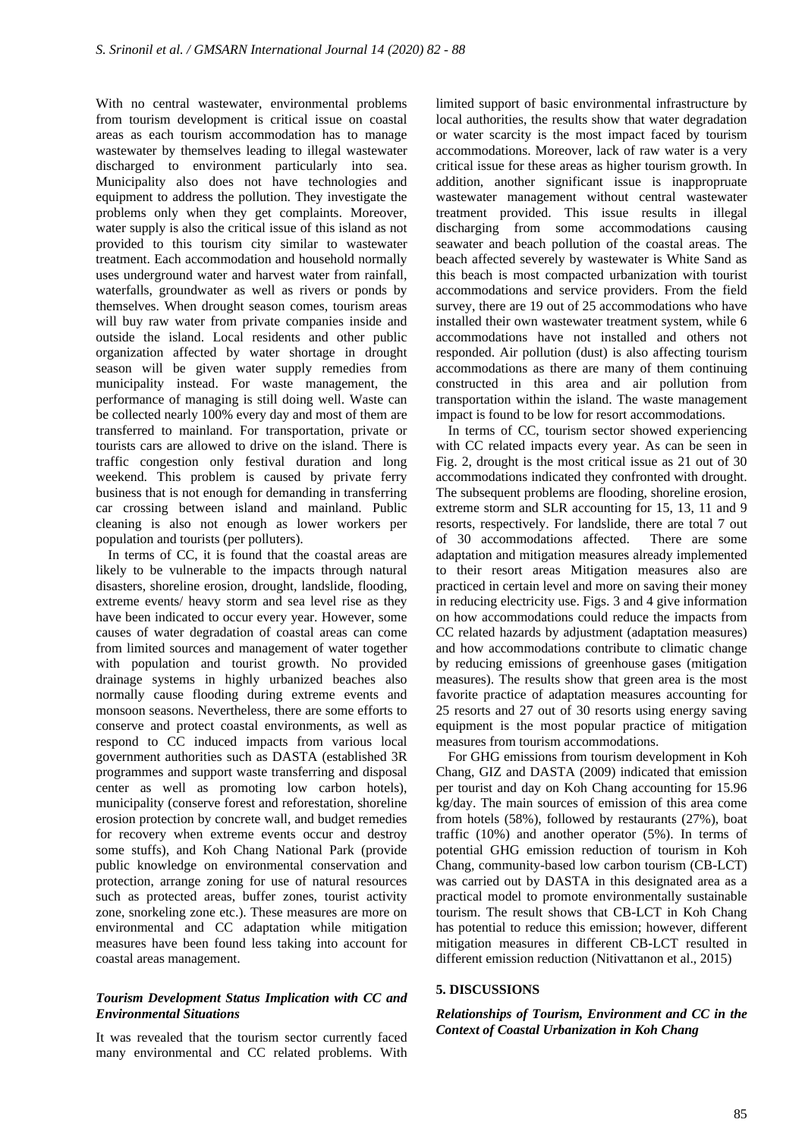With no central wastewater, environmental problems from tourism development is critical issue on coastal areas as each tourism accommodation has to manage wastewater by themselves leading to illegal wastewater discharged to environment particularly into sea. Municipality also does not have technologies and equipment to address the pollution. They investigate the problems only when they get complaints. Moreover, water supply is also the critical issue of this island as not provided to this tourism city similar to wastewater treatment. Each accommodation and household normally uses underground water and harvest water from rainfall, waterfalls, groundwater as well as rivers or ponds by themselves. When drought season comes, tourism areas will buy raw water from private companies inside and outside the island. Local residents and other public organization affected by water shortage in drought season will be given water supply remedies from municipality instead. For waste management, the performance of managing is still doing well. Waste can be collected nearly 100% every day and most of them are transferred to mainland. For transportation, private or tourists cars are allowed to drive on the island. There is traffic congestion only festival duration and long weekend. This problem is caused by private ferry business that is not enough for demanding in transferring car crossing between island and mainland. Public cleaning is also not enough as lower workers per population and tourists (per polluters).

In terms of CC, it is found that the coastal areas are likely to be vulnerable to the impacts through natural disasters, shoreline erosion, drought, landslide, flooding, extreme events/ heavy storm and sea level rise as they have been indicated to occur every year. However, some causes of water degradation of coastal areas can come from limited sources and management of water together with population and tourist growth. No provided drainage systems in highly urbanized beaches also normally cause flooding during extreme events and monsoon seasons. Nevertheless, there are some efforts to conserve and protect coastal environments, as well as respond to CC induced impacts from various local government authorities such as DASTA (established 3R programmes and support waste transferring and disposal center as well as promoting low carbon hotels), municipality (conserve forest and reforestation, shoreline erosion protection by concrete wall, and budget remedies for recovery when extreme events occur and destroy some stuffs), and Koh Chang National Park (provide public knowledge on environmental conservation and protection, arrange zoning for use of natural resources such as protected areas, buffer zones, tourist activity zone, snorkeling zone etc.). These measures are more on environmental and CC adaptation while mitigation measures have been found less taking into account for coastal areas management.

# *Tourism Development Status Implication with CC and Environmental Situations*

It was revealed that the tourism sector currently faced many environmental and CC related problems. With

limited support of basic environmental infrastructure by local authorities, the results show that water degradation or water scarcity is the most impact faced by tourism accommodations. Moreover, lack of raw water is a very critical issue for these areas as higher tourism growth. In addition, another significant issue is inappropruate wastewater management without central wastewater treatment provided. This issue results in illegal discharging from some accommodations causing seawater and beach pollution of the coastal areas. The beach affected severely by wastewater is White Sand as this beach is most compacted urbanization with tourist accommodations and service providers. From the field survey, there are 19 out of 25 accommodations who have installed their own wastewater treatment system, while 6 accommodations have not installed and others not responded. Air pollution (dust) is also affecting tourism accommodations as there are many of them continuing constructed in this area and air pollution from transportation within the island. The waste management impact is found to be low for resort accommodations.

In terms of CC, tourism sector showed experiencing with CC related impacts every year. As can be seen in Fig. 2, drought is the most critical issue as 21 out of 30 accommodations indicated they confronted with drought. The subsequent problems are flooding, shoreline erosion, extreme storm and SLR accounting for 15, 13, 11 and 9 resorts, respectively. For landslide, there are total 7 out of 30 accommodations affected. There are some adaptation and mitigation measures already implemented to their resort areas Mitigation measures also are practiced in certain level and more on saving their money in reducing electricity use. Figs. 3 and 4 give information on how accommodations could reduce the impacts from CC related hazards by adjustment (adaptation measures) and how accommodations contribute to climatic change by reducing emissions of greenhouse gases (mitigation measures). The results show that green area is the most favorite practice of adaptation measures accounting for 25 resorts and 27 out of 30 resorts using energy saving equipment is the most popular practice of mitigation measures from tourism accommodations.

For GHG emissions from tourism development in Koh Chang, GIZ and DASTA (2009) indicated that emission per tourist and day on Koh Chang accounting for 15.96 kg/day. The main sources of emission of this area come from hotels (58%), followed by restaurants (27%), boat traffic (10%) and another operator (5%). In terms of potential GHG emission reduction of tourism in Koh Chang, community-based low carbon tourism (CB-LCT) was carried out by DASTA in this designated area as a practical model to promote environmentally sustainable tourism. The result shows that CB-LCT in Koh Chang has potential to reduce this emission; however, different mitigation measures in different CB-LCT resulted in different emission reduction (Nitivattanon et al., 2015)

### **5. DISCUSSIONS**

*Relationships of Tourism, Environment and CC in the Context of Coastal Urbanization in Koh Chang*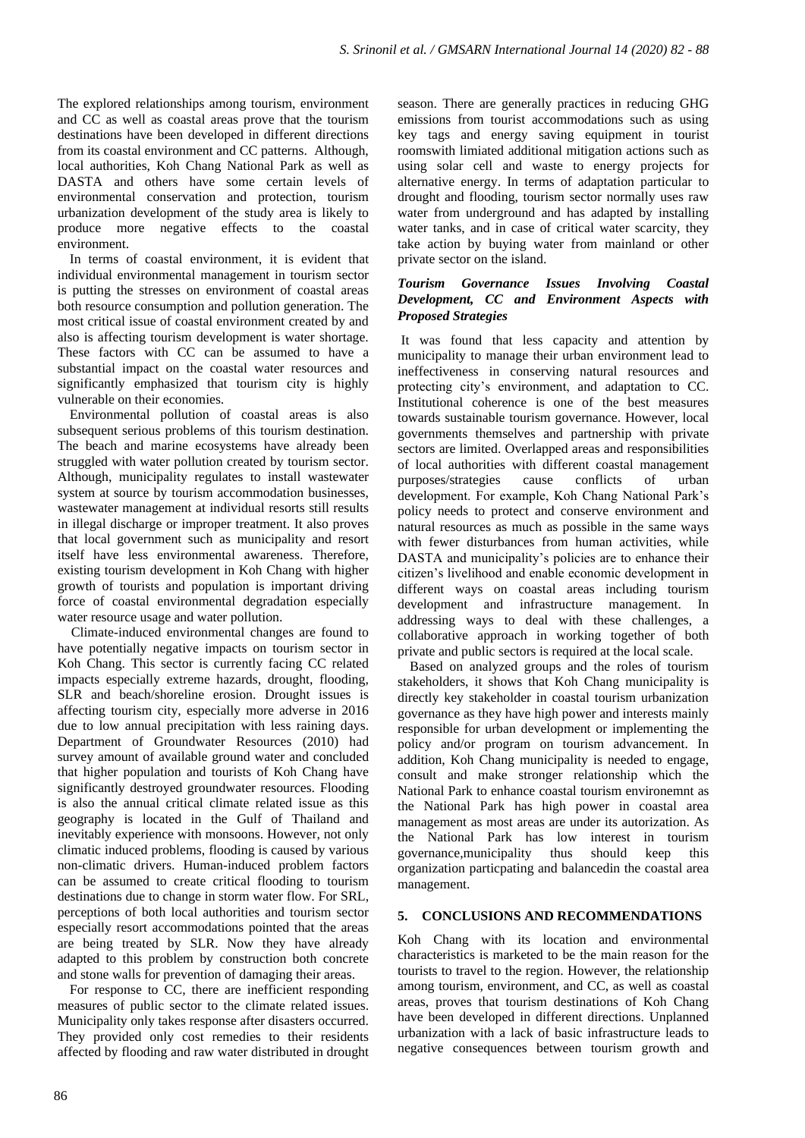The explored relationships among tourism, environment and CC as well as coastal areas prove that the tourism destinations have been developed in different directions from its coastal environment and CC patterns. Although, local authorities, Koh Chang National Park as well as DASTA and others have some certain levels of environmental conservation and protection, tourism urbanization development of the study area is likely to produce more negative effects to the coastal environment.

In terms of coastal environment, it is evident that individual environmental management in tourism sector is putting the stresses on environment of coastal areas both resource consumption and pollution generation. The most critical issue of coastal environment created by and also is affecting tourism development is water shortage. These factors with CC can be assumed to have a substantial impact on the coastal water resources and significantly emphasized that tourism city is highly vulnerable on their economies.

Environmental pollution of coastal areas is also subsequent serious problems of this tourism destination. The beach and marine ecosystems have already been struggled with water pollution created by tourism sector. Although, municipality regulates to install wastewater system at source by tourism accommodation businesses, wastewater management at individual resorts still results in illegal discharge or improper treatment. It also proves that local government such as municipality and resort itself have less environmental awareness. Therefore, existing tourism development in Koh Chang with higher growth of tourists and population is important driving force of coastal environmental degradation especially water resource usage and water pollution.

Climate-induced environmental changes are found to have potentially negative impacts on tourism sector in Koh Chang. This sector is currently facing CC related impacts especially extreme hazards, drought, flooding, SLR and beach/shoreline erosion. Drought issues is affecting tourism city, especially more adverse in 2016 due to low annual precipitation with less raining days. Department of Groundwater Resources (2010) had survey amount of available ground water and concluded that higher population and tourists of Koh Chang have significantly destroyed groundwater resources. Flooding is also the annual critical climate related issue as this geography is located in the Gulf of Thailand and inevitably experience with monsoons. However, not only climatic induced problems, flooding is caused by various non-climatic drivers. Human-induced problem factors can be assumed to create critical flooding to tourism destinations due to change in storm water flow. For SRL, perceptions of both local authorities and tourism sector especially resort accommodations pointed that the areas are being treated by SLR. Now they have already adapted to this problem by construction both concrete and stone walls for prevention of damaging their areas.

For response to CC, there are inefficient responding measures of public sector to the climate related issues. Municipality only takes response after disasters occurred. They provided only cost remedies to their residents affected by flooding and raw water distributed in drought season. There are generally practices in reducing GHG emissions from tourist accommodations such as using key tags and energy saving equipment in tourist roomswith limiated additional mitigation actions such as using solar cell and waste to energy projects for alternative energy. In terms of adaptation particular to drought and flooding, tourism sector normally uses raw water from underground and has adapted by installing water tanks, and in case of critical water scarcity, they take action by buying water from mainland or other private sector on the island.

# *Tourism Governance Issues Involving Coastal Development, CC and Environment Aspects with Proposed Strategies*

It was found that less capacity and attention by municipality to manage their urban environment lead to ineffectiveness in conserving natural resources and protecting city's environment, and adaptation to CC. Institutional coherence is one of the best measures towards sustainable tourism governance. However, local governments themselves and partnership with private sectors are limited. Overlapped areas and responsibilities of local authorities with different coastal management purposes/strategies cause conflicts of urban development. For example, Koh Chang National Park's policy needs to protect and conserve environment and natural resources as much as possible in the same ways with fewer disturbances from human activities, while DASTA and municipality's policies are to enhance their citizen's livelihood and enable economic development in different ways on coastal areas including tourism development and infrastructure management. In addressing ways to deal with these challenges, a collaborative approach in working together of both private and public sectors is required at the local scale.

Based on analyzed groups and the roles of tourism stakeholders, it shows that Koh Chang municipality is directly key stakeholder in coastal tourism urbanization governance as they have high power and interests mainly responsible for urban development or implementing the policy and/or program on tourism advancement. In addition, Koh Chang municipality is needed to engage, consult and make stronger relationship which the National Park to enhance coastal tourism environemnt as the National Park has high power in coastal area management as most areas are under its autorization. As the National Park has low interest in tourism governance,municipality thus should keep this organization particpating and balancedin the coastal area management.

# **5. CONCLUSIONS AND RECOMMENDATIONS**

Koh Chang with its location and environmental characteristics is marketed to be the main reason for the tourists to travel to the region. However, the relationship among tourism, environment, and CC, as well as coastal areas, proves that tourism destinations of Koh Chang have been developed in different directions. Unplanned urbanization with a lack of basic infrastructure leads to negative consequences between tourism growth and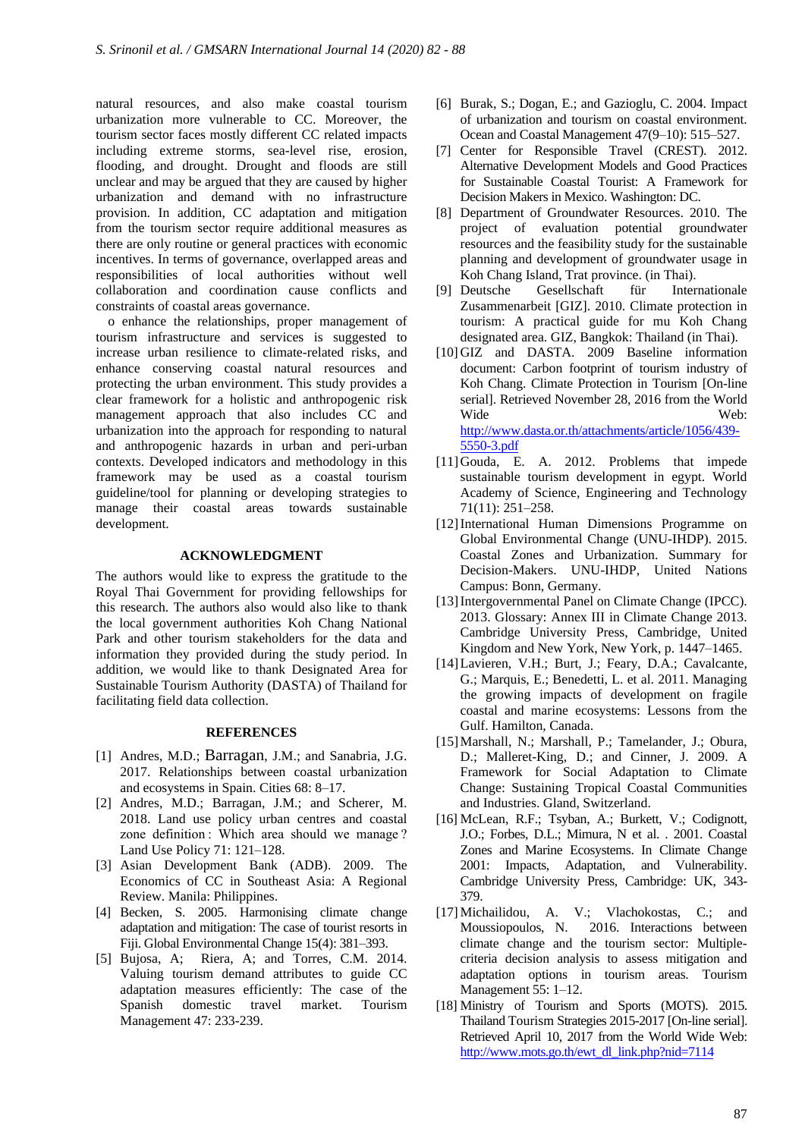natural resources, and also make coastal tourism urbanization more vulnerable to CC. Moreover, the tourism sector faces mostly different CC related impacts including extreme storms, sea-level rise, erosion, flooding, and drought. Drought and floods are still unclear and may be argued that they are caused by higher urbanization and demand with no infrastructure provision. In addition, CC adaptation and mitigation from the tourism sector require additional measures as there are only routine or general practices with economic incentives. In terms of governance, overlapped areas and responsibilities of local authorities without well collaboration and coordination cause conflicts and constraints of coastal areas governance.

o enhance the relationships, proper management of tourism infrastructure and services is suggested to increase urban resilience to climate-related risks, and enhance conserving coastal natural resources and protecting the urban environment. This study provides a clear framework for a holistic and anthropogenic risk management approach that also includes CC and urbanization into the approach for responding to natural and anthropogenic hazards in urban and peri-urban contexts. Developed indicators and methodology in this framework may be used as a coastal tourism guideline/tool for planning or developing strategies to manage their coastal areas towards sustainable development.

### **ACKNOWLEDGMENT**

The authors would like to express the gratitude to the Royal Thai Government for providing fellowships for this research. The authors also would also like to thank the local government authorities Koh Chang National Park and other tourism stakeholders for the data and information they provided during the study period. In addition, we would like to thank Designated Area for Sustainable Tourism Authority (DASTA) of Thailand for facilitating field data collection.

## **REFERENCES**

- [1] Andres, M.D.; Barragan, J.M.; and Sanabria, J.G. 2017. Relationships between coastal urbanization and ecosystems in Spain. Cities 68: 8–17.
- [2] Andres, M.D.; Barragan, J.M.; and Scherer, M. 2018. Land use policy urban centres and coastal zone definition : Which area should we manage ? Land Use Policy 71: 121–128.
- [3] Asian Development Bank (ADB). 2009. The Economics of CC in Southeast Asia: A Regional Review. Manila: Philippines.
- [4] Becken, S. 2005. Harmonising climate change adaptation and mitigation: The case of tourist resorts in Fiji. Global Environmental Change 15(4): 381–393.
- [5] Bujosa, A; Riera, A; and Torres, C.M. 2014. Valuing tourism demand attributes to guide CC adaptation measures efficiently: The case of the Spanish domestic travel market. Tourism Management 47: 233-239.
- [6] Burak, S.; Dogan, E.; and Gazioglu, C. 2004. Impact of urbanization and tourism on coastal environment. Ocean and Coastal Management 47(9–10): 515–527.
- [7] Center for Responsible Travel (CREST). 2012. Alternative Development Models and Good Practices for Sustainable Coastal Tourist: A Framework for Decision Makers in Mexico. Washington: DC.
- [8] Department of Groundwater Resources. 2010. The project of evaluation potential groundwater resources and the feasibility study for the sustainable planning and development of groundwater usage in Koh Chang Island, Trat province. (in Thai).
- [9] Deutsche Gesellschaft für Internationale Zusammenarbeit [GIZ]. 2010. Climate protection in tourism: A practical guide for mu Koh Chang designated area. GIZ, Bangkok: Thailand (in Thai).
- [10] GIZ and DASTA. 2009 Baseline information document: Carbon footprint of tourism industry of Koh Chang. Climate Protection in Tourism [On-line serial]. Retrieved November 28, 2016 from the World Wide Web: [http://www.dasta.or.th/attachments/article/1056/439-](http://www.dasta.or.th/attachments/article/1056/439-5550-3.pdf) [5550-3.pdf](http://www.dasta.or.th/attachments/article/1056/439-5550-3.pdf)
- [11]Gouda, E. A. 2012. Problems that impede sustainable tourism development in egypt. World Academy of Science, Engineering and Technology 71(11): 251–258.
- [12]International Human Dimensions Programme on Global Environmental Change (UNU-IHDP). 2015. Coastal Zones and Urbanization. Summary for Decision-Makers. UNU-IHDP, United Nations Campus: Bonn, Germany.
- [13] Intergovernmental Panel on Climate Change (IPCC). 2013. Glossary: Annex III in Climate Change 2013. Cambridge University Press, Cambridge, United Kingdom and New York, New York, p. 1447–1465.
- [14]Lavieren, V.H.; Burt, J.; Feary, D.A.; Cavalcante, G.; Marquis, E.; Benedetti, L. et al. 2011. Managing the growing impacts of development on fragile coastal and marine ecosystems: Lessons from the Gulf. Hamilton, Canada.
- [15]Marshall, N.; Marshall, P.; Tamelander, J.; Obura, D.; Malleret-King, D.; and Cinner, J. 2009. A Framework for Social Adaptation to Climate Change: Sustaining Tropical Coastal Communities and Industries. Gland, Switzerland.
- [16] McLean, R.F.; Tsyban, A.; Burkett, V.; Codignott, J.O.; Forbes, D.L.; Mimura, N et al. . 2001. Coastal Zones and Marine Ecosystems. In Climate Change 2001: Impacts, Adaptation, and Vulnerability. Cambridge University Press, Cambridge: UK, 343- 379.
- [17] Michailidou, A. V.; Vlachokostas, C.; and Moussiopoulos, N. 2016. Interactions between climate change and the tourism sector: Multiplecriteria decision analysis to assess mitigation and adaptation options in tourism areas. Tourism Management 55: 1–12.
- [18] Ministry of Tourism and Sports (MOTS). 2015. Thailand Tourism Strategies 2015-2017 [On-line serial]. Retrieved April 10, 2017 from the World Wide Web: [http://www.mots.go.th/ewt\\_dl\\_link.php?nid=7114](http://www.mots.go.th/ewt_dl_link.php?nid=7114)